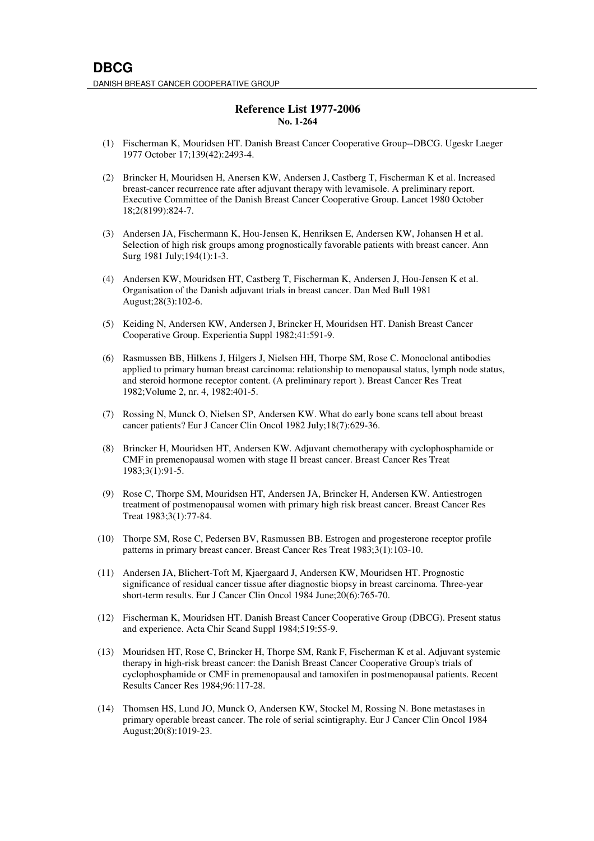## **Reference List 1977-2006 No. 1-264**

- (1) Fischerman K, Mouridsen HT. Danish Breast Cancer Cooperative Group--DBCG. Ugeskr Laeger 1977 October 17;139(42):2493-4.
- (2) Brincker H, Mouridsen H, Anersen KW, Andersen J, Castberg T, Fischerman K et al. Increased breast-cancer recurrence rate after adjuvant therapy with levamisole. A preliminary report. Executive Committee of the Danish Breast Cancer Cooperative Group. Lancet 1980 October 18;2(8199):824-7.
- (3) Andersen JA, Fischermann K, Hou-Jensen K, Henriksen E, Andersen KW, Johansen H et al. Selection of high risk groups among prognostically favorable patients with breast cancer. Ann Surg 1981 July;194(1):1-3.
- (4) Andersen KW, Mouridsen HT, Castberg T, Fischerman K, Andersen J, Hou-Jensen K et al. Organisation of the Danish adjuvant trials in breast cancer. Dan Med Bull 1981 August;28(3):102-6.
- (5) Keiding N, Andersen KW, Andersen J, Brincker H, Mouridsen HT. Danish Breast Cancer Cooperative Group. Experientia Suppl 1982;41:591-9.
- (6) Rasmussen BB, Hilkens J, Hilgers J, Nielsen HH, Thorpe SM, Rose C. Monoclonal antibodies applied to primary human breast carcinoma: relationship to menopausal status, lymph node status, and steroid hormone receptor content. (A preliminary report ). Breast Cancer Res Treat 1982;Volume 2, nr. 4, 1982:401-5.
- (7) Rossing N, Munck O, Nielsen SP, Andersen KW. What do early bone scans tell about breast cancer patients? Eur J Cancer Clin Oncol 1982 July;18(7):629-36.
- (8) Brincker H, Mouridsen HT, Andersen KW. Adjuvant chemotherapy with cyclophosphamide or CMF in premenopausal women with stage II breast cancer. Breast Cancer Res Treat 1983;3(1):91-5.
- (9) Rose C, Thorpe SM, Mouridsen HT, Andersen JA, Brincker H, Andersen KW. Antiestrogen treatment of postmenopausal women with primary high risk breast cancer. Breast Cancer Res Treat 1983;3(1):77-84.
- (10) Thorpe SM, Rose C, Pedersen BV, Rasmussen BB. Estrogen and progesterone receptor profile patterns in primary breast cancer. Breast Cancer Res Treat 1983;3(1):103-10.
- (11) Andersen JA, Blichert-Toft M, Kjaergaard J, Andersen KW, Mouridsen HT. Prognostic significance of residual cancer tissue after diagnostic biopsy in breast carcinoma. Three-year short-term results. Eur J Cancer Clin Oncol 1984 June;20(6):765-70.
- (12) Fischerman K, Mouridsen HT. Danish Breast Cancer Cooperative Group (DBCG). Present status and experience. Acta Chir Scand Suppl 1984;519:55-9.
- (13) Mouridsen HT, Rose C, Brincker H, Thorpe SM, Rank F, Fischerman K et al. Adjuvant systemic therapy in high-risk breast cancer: the Danish Breast Cancer Cooperative Group's trials of cyclophosphamide or CMF in premenopausal and tamoxifen in postmenopausal patients. Recent Results Cancer Res 1984;96:117-28.
- (14) Thomsen HS, Lund JO, Munck O, Andersen KW, Stockel M, Rossing N. Bone metastases in primary operable breast cancer. The role of serial scintigraphy. Eur J Cancer Clin Oncol 1984 August;20(8):1019-23.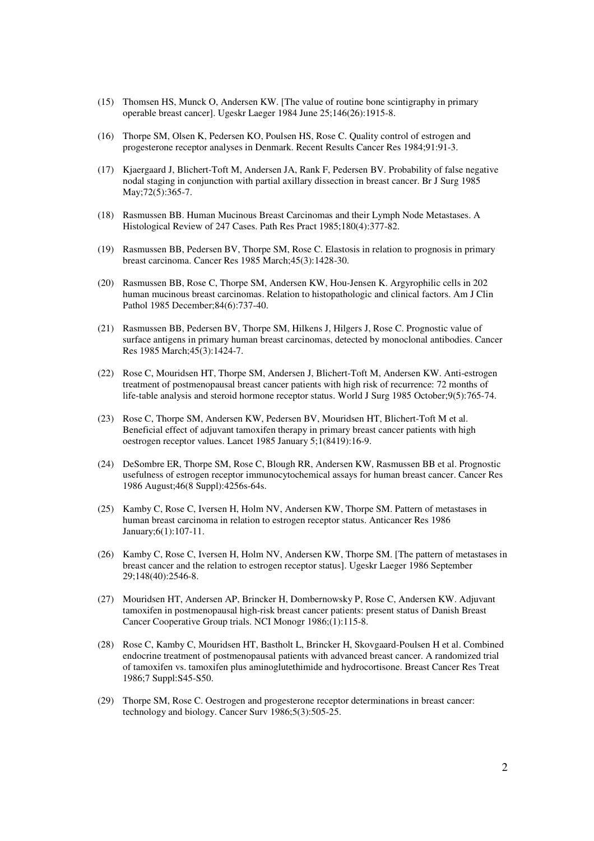- (15) Thomsen HS, Munck O, Andersen KW. [The value of routine bone scintigraphy in primary operable breast cancer]. Ugeskr Laeger 1984 June 25;146(26):1915-8.
- (16) Thorpe SM, Olsen K, Pedersen KO, Poulsen HS, Rose C. Quality control of estrogen and progesterone receptor analyses in Denmark. Recent Results Cancer Res 1984;91:91-3.
- (17) Kjaergaard J, Blichert-Toft M, Andersen JA, Rank F, Pedersen BV. Probability of false negative nodal staging in conjunction with partial axillary dissection in breast cancer. Br J Surg 1985 May;72(5):365-7.
- (18) Rasmussen BB. Human Mucinous Breast Carcinomas and their Lymph Node Metastases. A Histological Review of 247 Cases. Path Res Pract 1985;180(4):377-82.
- (19) Rasmussen BB, Pedersen BV, Thorpe SM, Rose C. Elastosis in relation to prognosis in primary breast carcinoma. Cancer Res 1985 March;45(3):1428-30.
- (20) Rasmussen BB, Rose C, Thorpe SM, Andersen KW, Hou-Jensen K. Argyrophilic cells in 202 human mucinous breast carcinomas. Relation to histopathologic and clinical factors. Am J Clin Pathol 1985 December;84(6):737-40.
- (21) Rasmussen BB, Pedersen BV, Thorpe SM, Hilkens J, Hilgers J, Rose C. Prognostic value of surface antigens in primary human breast carcinomas, detected by monoclonal antibodies. Cancer Res 1985 March;45(3):1424-7.
- (22) Rose C, Mouridsen HT, Thorpe SM, Andersen J, Blichert-Toft M, Andersen KW. Anti-estrogen treatment of postmenopausal breast cancer patients with high risk of recurrence: 72 months of life-table analysis and steroid hormone receptor status. World J Surg 1985 October;9(5):765-74.
- (23) Rose C, Thorpe SM, Andersen KW, Pedersen BV, Mouridsen HT, Blichert-Toft M et al. Beneficial effect of adjuvant tamoxifen therapy in primary breast cancer patients with high oestrogen receptor values. Lancet 1985 January 5;1(8419):16-9.
- (24) DeSombre ER, Thorpe SM, Rose C, Blough RR, Andersen KW, Rasmussen BB et al. Prognostic usefulness of estrogen receptor immunocytochemical assays for human breast cancer. Cancer Res 1986 August;46(8 Suppl):4256s-64s.
- (25) Kamby C, Rose C, Iversen H, Holm NV, Andersen KW, Thorpe SM. Pattern of metastases in human breast carcinoma in relation to estrogen receptor status. Anticancer Res 1986 January;6(1):107-11.
- (26) Kamby C, Rose C, Iversen H, Holm NV, Andersen KW, Thorpe SM. [The pattern of metastases in breast cancer and the relation to estrogen receptor status]. Ugeskr Laeger 1986 September 29;148(40):2546-8.
- (27) Mouridsen HT, Andersen AP, Brincker H, Dombernowsky P, Rose C, Andersen KW. Adjuvant tamoxifen in postmenopausal high-risk breast cancer patients: present status of Danish Breast Cancer Cooperative Group trials. NCI Monogr 1986;(1):115-8.
- (28) Rose C, Kamby C, Mouridsen HT, Bastholt L, Brincker H, Skovgaard-Poulsen H et al. Combined endocrine treatment of postmenopausal patients with advanced breast cancer. A randomized trial of tamoxifen vs. tamoxifen plus aminoglutethimide and hydrocortisone. Breast Cancer Res Treat 1986;7 Suppl:S45-S50.
- (29) Thorpe SM, Rose C. Oestrogen and progesterone receptor determinations in breast cancer: technology and biology. Cancer Surv 1986;5(3):505-25.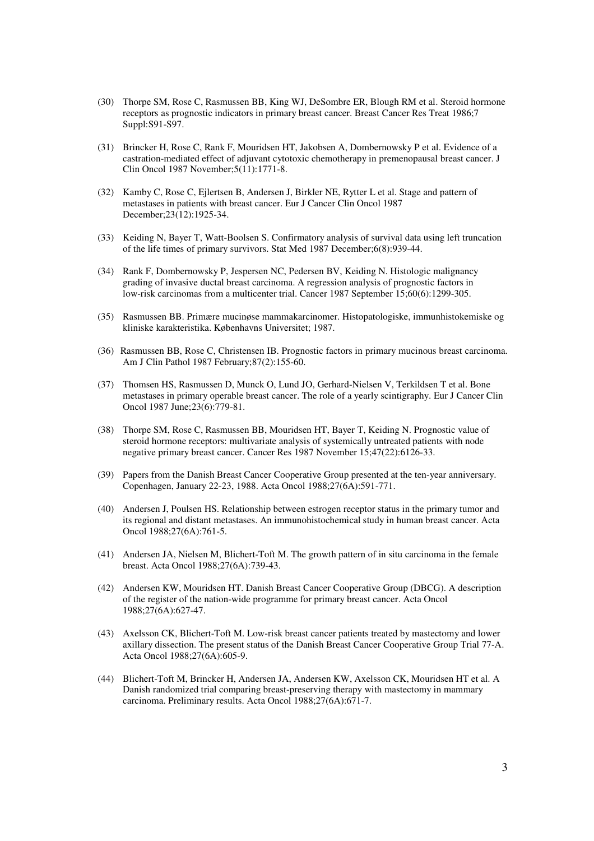- (30) Thorpe SM, Rose C, Rasmussen BB, King WJ, DeSombre ER, Blough RM et al. Steroid hormone receptors as prognostic indicators in primary breast cancer. Breast Cancer Res Treat 1986;7 Suppl:S91-S97.
- (31) Brincker H, Rose C, Rank F, Mouridsen HT, Jakobsen A, Dombernowsky P et al. Evidence of a castration-mediated effect of adjuvant cytotoxic chemotherapy in premenopausal breast cancer. J Clin Oncol 1987 November;5(11):1771-8.
- (32) Kamby C, Rose C, Ejlertsen B, Andersen J, Birkler NE, Rytter L et al. Stage and pattern of metastases in patients with breast cancer. Eur J Cancer Clin Oncol 1987 December;23(12):1925-34.
- (33) Keiding N, Bayer T, Watt-Boolsen S. Confirmatory analysis of survival data using left truncation of the life times of primary survivors. Stat Med 1987 December;6(8):939-44.
- (34) Rank F, Dombernowsky P, Jespersen NC, Pedersen BV, Keiding N. Histologic malignancy grading of invasive ductal breast carcinoma. A regression analysis of prognostic factors in low-risk carcinomas from a multicenter trial. Cancer 1987 September 15;60(6):1299-305.
- (35) Rasmussen BB. Primære mucinøse mammakarcinomer. Histopatologiske, immunhistokemiske og kliniske karakteristika. Københavns Universitet; 1987.
- (36) Rasmussen BB, Rose C, Christensen IB. Prognostic factors in primary mucinous breast carcinoma. Am J Clin Pathol 1987 February;87(2):155-60.
- (37) Thomsen HS, Rasmussen D, Munck O, Lund JO, Gerhard-Nielsen V, Terkildsen T et al. Bone metastases in primary operable breast cancer. The role of a yearly scintigraphy. Eur J Cancer Clin Oncol 1987 June;23(6):779-81.
- (38) Thorpe SM, Rose C, Rasmussen BB, Mouridsen HT, Bayer T, Keiding N. Prognostic value of steroid hormone receptors: multivariate analysis of systemically untreated patients with node negative primary breast cancer. Cancer Res 1987 November 15;47(22):6126-33.
- (39) Papers from the Danish Breast Cancer Cooperative Group presented at the ten-year anniversary. Copenhagen, January 22-23, 1988. Acta Oncol 1988;27(6A):591-771.
- (40) Andersen J, Poulsen HS. Relationship between estrogen receptor status in the primary tumor and its regional and distant metastases. An immunohistochemical study in human breast cancer. Acta Oncol 1988;27(6A):761-5.
- (41) Andersen JA, Nielsen M, Blichert-Toft M. The growth pattern of in situ carcinoma in the female breast. Acta Oncol 1988;27(6A):739-43.
- (42) Andersen KW, Mouridsen HT. Danish Breast Cancer Cooperative Group (DBCG). A description of the register of the nation-wide programme for primary breast cancer. Acta Oncol 1988;27(6A):627-47.
- (43) Axelsson CK, Blichert-Toft M. Low-risk breast cancer patients treated by mastectomy and lower axillary dissection. The present status of the Danish Breast Cancer Cooperative Group Trial 77-A. Acta Oncol 1988;27(6A):605-9.
- (44) Blichert-Toft M, Brincker H, Andersen JA, Andersen KW, Axelsson CK, Mouridsen HT et al. A Danish randomized trial comparing breast-preserving therapy with mastectomy in mammary carcinoma. Preliminary results. Acta Oncol 1988;27(6A):671-7.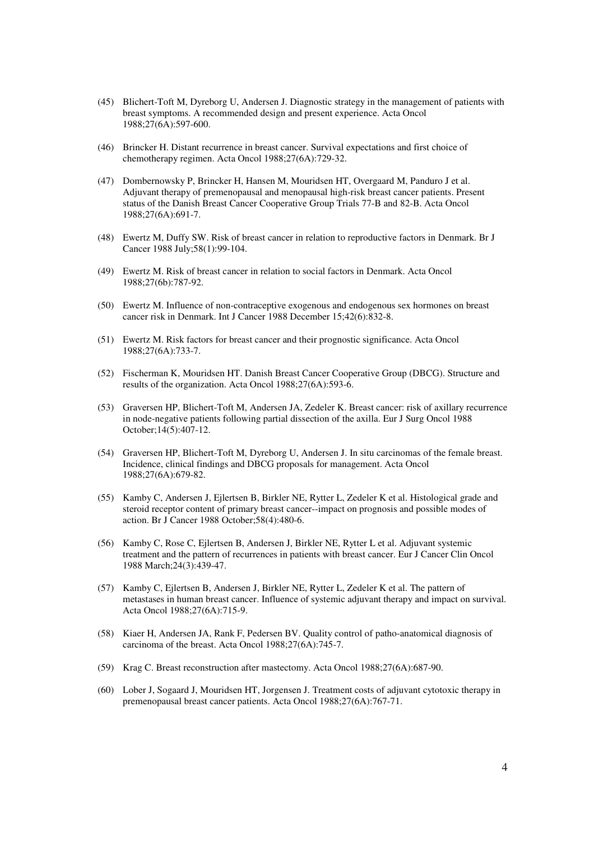- (45) Blichert-Toft M, Dyreborg U, Andersen J. Diagnostic strategy in the management of patients with breast symptoms. A recommended design and present experience. Acta Oncol 1988;27(6A):597-600.
- (46) Brincker H. Distant recurrence in breast cancer. Survival expectations and first choice of chemotherapy regimen. Acta Oncol 1988;27(6A):729-32.
- (47) Dombernowsky P, Brincker H, Hansen M, Mouridsen HT, Overgaard M, Panduro J et al. Adjuvant therapy of premenopausal and menopausal high-risk breast cancer patients. Present status of the Danish Breast Cancer Cooperative Group Trials 77-B and 82-B. Acta Oncol 1988;27(6A):691-7.
- (48) Ewertz M, Duffy SW. Risk of breast cancer in relation to reproductive factors in Denmark. Br J Cancer 1988 July;58(1):99-104.
- (49) Ewertz M. Risk of breast cancer in relation to social factors in Denmark. Acta Oncol 1988;27(6b):787-92.
- (50) Ewertz M. Influence of non-contraceptive exogenous and endogenous sex hormones on breast cancer risk in Denmark. Int J Cancer 1988 December 15;42(6):832-8.
- (51) Ewertz M. Risk factors for breast cancer and their prognostic significance. Acta Oncol 1988;27(6A):733-7.
- (52) Fischerman K, Mouridsen HT. Danish Breast Cancer Cooperative Group (DBCG). Structure and results of the organization. Acta Oncol 1988;27(6A):593-6.
- (53) Graversen HP, Blichert-Toft M, Andersen JA, Zedeler K. Breast cancer: risk of axillary recurrence in node-negative patients following partial dissection of the axilla. Eur J Surg Oncol 1988 October;14(5):407-12.
- (54) Graversen HP, Blichert-Toft M, Dyreborg U, Andersen J. In situ carcinomas of the female breast. Incidence, clinical findings and DBCG proposals for management. Acta Oncol 1988;27(6A):679-82.
- (55) Kamby C, Andersen J, Ejlertsen B, Birkler NE, Rytter L, Zedeler K et al. Histological grade and steroid receptor content of primary breast cancer--impact on prognosis and possible modes of action. Br J Cancer 1988 October;58(4):480-6.
- (56) Kamby C, Rose C, Ejlertsen B, Andersen J, Birkler NE, Rytter L et al. Adjuvant systemic treatment and the pattern of recurrences in patients with breast cancer. Eur J Cancer Clin Oncol 1988 March;24(3):439-47.
- (57) Kamby C, Ejlertsen B, Andersen J, Birkler NE, Rytter L, Zedeler K et al. The pattern of metastases in human breast cancer. Influence of systemic adjuvant therapy and impact on survival. Acta Oncol 1988;27(6A):715-9.
- (58) Kiaer H, Andersen JA, Rank F, Pedersen BV. Quality control of patho-anatomical diagnosis of carcinoma of the breast. Acta Oncol 1988;27(6A):745-7.
- (59) Krag C. Breast reconstruction after mastectomy. Acta Oncol 1988;27(6A):687-90.
- (60) Lober J, Sogaard J, Mouridsen HT, Jorgensen J. Treatment costs of adjuvant cytotoxic therapy in premenopausal breast cancer patients. Acta Oncol 1988;27(6A):767-71.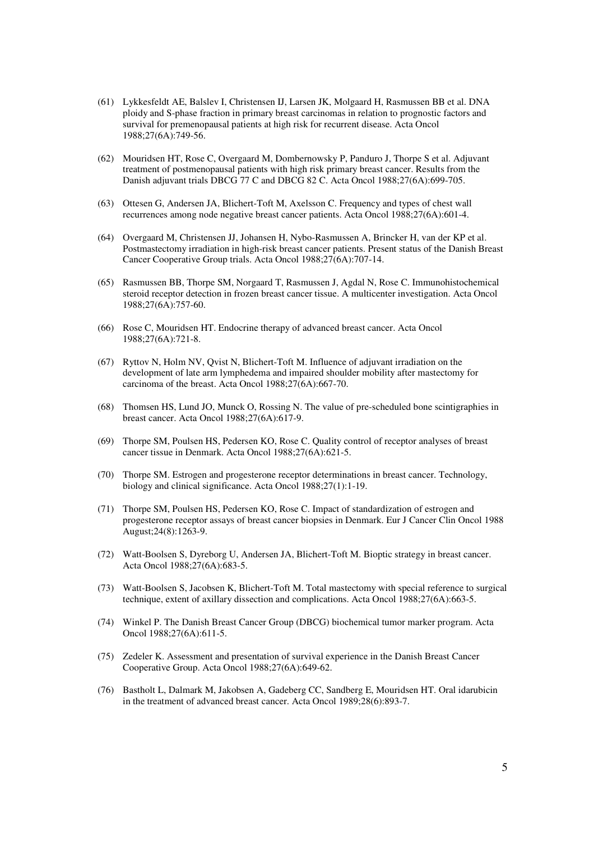- (61) Lykkesfeldt AE, Balslev I, Christensen IJ, Larsen JK, Molgaard H, Rasmussen BB et al. DNA ploidy and S-phase fraction in primary breast carcinomas in relation to prognostic factors and survival for premenopausal patients at high risk for recurrent disease. Acta Oncol 1988;27(6A):749-56.
- (62) Mouridsen HT, Rose C, Overgaard M, Dombernowsky P, Panduro J, Thorpe S et al. Adjuvant treatment of postmenopausal patients with high risk primary breast cancer. Results from the Danish adjuvant trials DBCG 77 C and DBCG 82 C. Acta Oncol 1988;27(6A):699-705.
- (63) Ottesen G, Andersen JA, Blichert-Toft M, Axelsson C. Frequency and types of chest wall recurrences among node negative breast cancer patients. Acta Oncol 1988;27(6A):601-4.
- (64) Overgaard M, Christensen JJ, Johansen H, Nybo-Rasmussen A, Brincker H, van der KP et al. Postmastectomy irradiation in high-risk breast cancer patients. Present status of the Danish Breast Cancer Cooperative Group trials. Acta Oncol 1988;27(6A):707-14.
- (65) Rasmussen BB, Thorpe SM, Norgaard T, Rasmussen J, Agdal N, Rose C. Immunohistochemical steroid receptor detection in frozen breast cancer tissue. A multicenter investigation. Acta Oncol 1988;27(6A):757-60.
- (66) Rose C, Mouridsen HT. Endocrine therapy of advanced breast cancer. Acta Oncol 1988;27(6A):721-8.
- (67) Ryttov N, Holm NV, Qvist N, Blichert-Toft M. Influence of adjuvant irradiation on the development of late arm lymphedema and impaired shoulder mobility after mastectomy for carcinoma of the breast. Acta Oncol 1988;27(6A):667-70.
- (68) Thomsen HS, Lund JO, Munck O, Rossing N. The value of pre-scheduled bone scintigraphies in breast cancer. Acta Oncol 1988;27(6A):617-9.
- (69) Thorpe SM, Poulsen HS, Pedersen KO, Rose C. Quality control of receptor analyses of breast cancer tissue in Denmark. Acta Oncol 1988;27(6A):621-5.
- (70) Thorpe SM. Estrogen and progesterone receptor determinations in breast cancer. Technology, biology and clinical significance. Acta Oncol 1988;27(1):1-19.
- (71) Thorpe SM, Poulsen HS, Pedersen KO, Rose C. Impact of standardization of estrogen and progesterone receptor assays of breast cancer biopsies in Denmark. Eur J Cancer Clin Oncol 1988 August;24(8):1263-9.
- (72) Watt-Boolsen S, Dyreborg U, Andersen JA, Blichert-Toft M. Bioptic strategy in breast cancer. Acta Oncol 1988;27(6A):683-5.
- (73) Watt-Boolsen S, Jacobsen K, Blichert-Toft M. Total mastectomy with special reference to surgical technique, extent of axillary dissection and complications. Acta Oncol 1988;27(6A):663-5.
- (74) Winkel P. The Danish Breast Cancer Group (DBCG) biochemical tumor marker program. Acta Oncol 1988;27(6A):611-5.
- (75) Zedeler K. Assessment and presentation of survival experience in the Danish Breast Cancer Cooperative Group. Acta Oncol 1988;27(6A):649-62.
- (76) Bastholt L, Dalmark M, Jakobsen A, Gadeberg CC, Sandberg E, Mouridsen HT. Oral idarubicin in the treatment of advanced breast cancer. Acta Oncol 1989;28(6):893-7.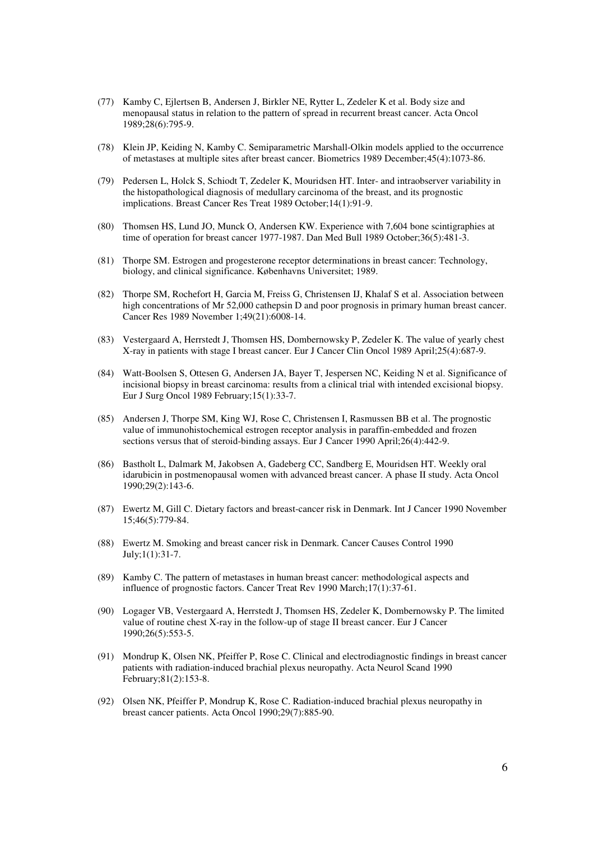- (77) Kamby C, Ejlertsen B, Andersen J, Birkler NE, Rytter L, Zedeler K et al. Body size and menopausal status in relation to the pattern of spread in recurrent breast cancer. Acta Oncol 1989;28(6):795-9.
- (78) Klein JP, Keiding N, Kamby C. Semiparametric Marshall-Olkin models applied to the occurrence of metastases at multiple sites after breast cancer. Biometrics 1989 December;45(4):1073-86.
- (79) Pedersen L, Holck S, Schiodt T, Zedeler K, Mouridsen HT. Inter- and intraobserver variability in the histopathological diagnosis of medullary carcinoma of the breast, and its prognostic implications. Breast Cancer Res Treat 1989 October;14(1):91-9.
- (80) Thomsen HS, Lund JO, Munck O, Andersen KW. Experience with 7,604 bone scintigraphies at time of operation for breast cancer 1977-1987. Dan Med Bull 1989 October;36(5):481-3.
- (81) Thorpe SM. Estrogen and progesterone receptor determinations in breast cancer: Technology, biology, and clinical significance. Københavns Universitet; 1989.
- (82) Thorpe SM, Rochefort H, Garcia M, Freiss G, Christensen IJ, Khalaf S et al. Association between high concentrations of Mr 52,000 cathepsin D and poor prognosis in primary human breast cancer. Cancer Res 1989 November 1;49(21):6008-14.
- (83) Vestergaard A, Herrstedt J, Thomsen HS, Dombernowsky P, Zedeler K. The value of yearly chest X-ray in patients with stage I breast cancer. Eur J Cancer Clin Oncol 1989 April;25(4):687-9.
- (84) Watt-Boolsen S, Ottesen G, Andersen JA, Bayer T, Jespersen NC, Keiding N et al. Significance of incisional biopsy in breast carcinoma: results from a clinical trial with intended excisional biopsy. Eur J Surg Oncol 1989 February;15(1):33-7.
- (85) Andersen J, Thorpe SM, King WJ, Rose C, Christensen I, Rasmussen BB et al. The prognostic value of immunohistochemical estrogen receptor analysis in paraffin-embedded and frozen sections versus that of steroid-binding assays. Eur J Cancer 1990 April;26(4):442-9.
- (86) Bastholt L, Dalmark M, Jakobsen A, Gadeberg CC, Sandberg E, Mouridsen HT. Weekly oral idarubicin in postmenopausal women with advanced breast cancer. A phase II study. Acta Oncol 1990;29(2):143-6.
- (87) Ewertz M, Gill C. Dietary factors and breast-cancer risk in Denmark. Int J Cancer 1990 November 15;46(5):779-84.
- (88) Ewertz M. Smoking and breast cancer risk in Denmark. Cancer Causes Control 1990 July;1(1):31-7.
- (89) Kamby C. The pattern of metastases in human breast cancer: methodological aspects and influence of prognostic factors. Cancer Treat Rev 1990 March;17(1):37-61.
- (90) Logager VB, Vestergaard A, Herrstedt J, Thomsen HS, Zedeler K, Dombernowsky P. The limited value of routine chest X-ray in the follow-up of stage II breast cancer. Eur J Cancer 1990;26(5):553-5.
- (91) Mondrup K, Olsen NK, Pfeiffer P, Rose C. Clinical and electrodiagnostic findings in breast cancer patients with radiation-induced brachial plexus neuropathy. Acta Neurol Scand 1990 February;81(2):153-8.
- (92) Olsen NK, Pfeiffer P, Mondrup K, Rose C. Radiation-induced brachial plexus neuropathy in breast cancer patients. Acta Oncol 1990;29(7):885-90.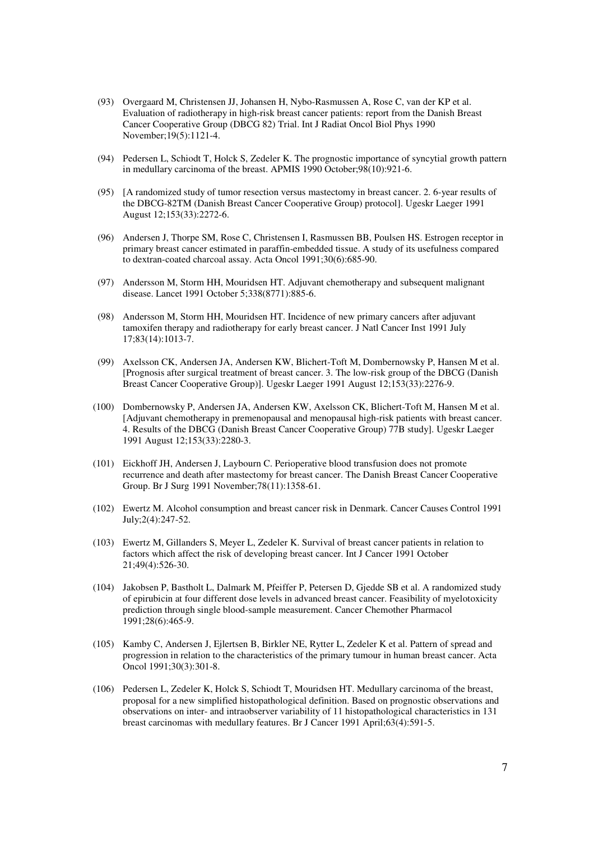- (93) Overgaard M, Christensen JJ, Johansen H, Nybo-Rasmussen A, Rose C, van der KP et al. Evaluation of radiotherapy in high-risk breast cancer patients: report from the Danish Breast Cancer Cooperative Group (DBCG 82) Trial. Int J Radiat Oncol Biol Phys 1990 November;19(5):1121-4.
- (94) Pedersen L, Schiodt T, Holck S, Zedeler K. The prognostic importance of syncytial growth pattern in medullary carcinoma of the breast. APMIS 1990 October;98(10):921-6.
- (95) [A randomized study of tumor resection versus mastectomy in breast cancer. 2. 6-year results of the DBCG-82TM (Danish Breast Cancer Cooperative Group) protocol]. Ugeskr Laeger 1991 August 12;153(33):2272-6.
- (96) Andersen J, Thorpe SM, Rose C, Christensen I, Rasmussen BB, Poulsen HS. Estrogen receptor in primary breast cancer estimated in paraffin-embedded tissue. A study of its usefulness compared to dextran-coated charcoal assay. Acta Oncol 1991;30(6):685-90.
- (97) Andersson M, Storm HH, Mouridsen HT. Adjuvant chemotherapy and subsequent malignant disease. Lancet 1991 October 5;338(8771):885-6.
- (98) Andersson M, Storm HH, Mouridsen HT. Incidence of new primary cancers after adjuvant tamoxifen therapy and radiotherapy for early breast cancer. J Natl Cancer Inst 1991 July 17;83(14):1013-7.
- (99) Axelsson CK, Andersen JA, Andersen KW, Blichert-Toft M, Dombernowsky P, Hansen M et al. [Prognosis after surgical treatment of breast cancer. 3. The low-risk group of the DBCG (Danish Breast Cancer Cooperative Group)]. Ugeskr Laeger 1991 August 12;153(33):2276-9.
- (100) Dombernowsky P, Andersen JA, Andersen KW, Axelsson CK, Blichert-Toft M, Hansen M et al. [Adjuvant chemotherapy in premenopausal and menopausal high-risk patients with breast cancer. 4. Results of the DBCG (Danish Breast Cancer Cooperative Group) 77B study]. Ugeskr Laeger 1991 August 12;153(33):2280-3.
- (101) Eickhoff JH, Andersen J, Laybourn C. Perioperative blood transfusion does not promote recurrence and death after mastectomy for breast cancer. The Danish Breast Cancer Cooperative Group. Br J Surg 1991 November;78(11):1358-61.
- (102) Ewertz M. Alcohol consumption and breast cancer risk in Denmark. Cancer Causes Control 1991 July;2(4):247-52.
- (103) Ewertz M, Gillanders S, Meyer L, Zedeler K. Survival of breast cancer patients in relation to factors which affect the risk of developing breast cancer. Int J Cancer 1991 October 21;49(4):526-30.
- (104) Jakobsen P, Bastholt L, Dalmark M, Pfeiffer P, Petersen D, Gjedde SB et al. A randomized study of epirubicin at four different dose levels in advanced breast cancer. Feasibility of myelotoxicity prediction through single blood-sample measurement. Cancer Chemother Pharmacol 1991;28(6):465-9.
- (105) Kamby C, Andersen J, Ejlertsen B, Birkler NE, Rytter L, Zedeler K et al. Pattern of spread and progression in relation to the characteristics of the primary tumour in human breast cancer. Acta Oncol 1991;30(3):301-8.
- (106) Pedersen L, Zedeler K, Holck S, Schiodt T, Mouridsen HT. Medullary carcinoma of the breast, proposal for a new simplified histopathological definition. Based on prognostic observations and observations on inter- and intraobserver variability of 11 histopathological characteristics in 131 breast carcinomas with medullary features. Br J Cancer 1991 April;63(4):591-5.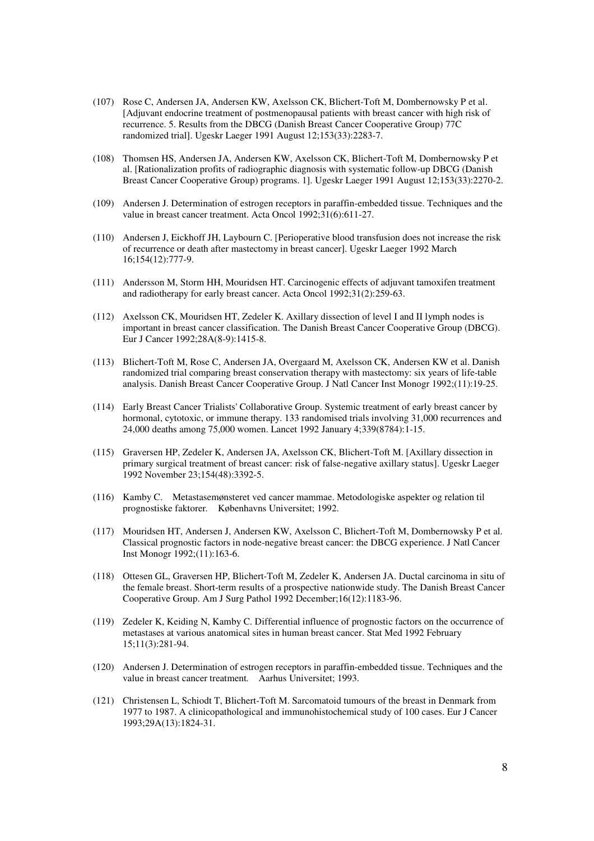- (107) Rose C, Andersen JA, Andersen KW, Axelsson CK, Blichert-Toft M, Dombernowsky P et al. [Adjuvant endocrine treatment of postmenopausal patients with breast cancer with high risk of recurrence. 5. Results from the DBCG (Danish Breast Cancer Cooperative Group) 77C randomized trial]. Ugeskr Laeger 1991 August 12;153(33):2283-7.
- (108) Thomsen HS, Andersen JA, Andersen KW, Axelsson CK, Blichert-Toft M, Dombernowsky P et al. [Rationalization profits of radiographic diagnosis with systematic follow-up DBCG (Danish Breast Cancer Cooperative Group) programs. 1]. Ugeskr Laeger 1991 August 12;153(33):2270-2.
- (109) Andersen J. Determination of estrogen receptors in paraffin-embedded tissue. Techniques and the value in breast cancer treatment. Acta Oncol 1992;31(6):611-27.
- (110) Andersen J, Eickhoff JH, Laybourn C. [Perioperative blood transfusion does not increase the risk of recurrence or death after mastectomy in breast cancer]. Ugeskr Laeger 1992 March 16;154(12):777-9.
- (111) Andersson M, Storm HH, Mouridsen HT. Carcinogenic effects of adjuvant tamoxifen treatment and radiotherapy for early breast cancer. Acta Oncol 1992;31(2):259-63.
- (112) Axelsson CK, Mouridsen HT, Zedeler K. Axillary dissection of level I and II lymph nodes is important in breast cancer classification. The Danish Breast Cancer Cooperative Group (DBCG). Eur J Cancer 1992;28A(8-9):1415-8.
- (113) Blichert-Toft M, Rose C, Andersen JA, Overgaard M, Axelsson CK, Andersen KW et al. Danish randomized trial comparing breast conservation therapy with mastectomy: six years of life-table analysis. Danish Breast Cancer Cooperative Group. J Natl Cancer Inst Monogr 1992;(11):19-25.
- (114) Early Breast Cancer Trialists' Collaborative Group. Systemic treatment of early breast cancer by hormonal, cytotoxic, or immune therapy. 133 randomised trials involving 31,000 recurrences and 24,000 deaths among 75,000 women. Lancet 1992 January 4;339(8784):1-15.
- (115) Graversen HP, Zedeler K, Andersen JA, Axelsson CK, Blichert-Toft M. [Axillary dissection in primary surgical treatment of breast cancer: risk of false-negative axillary status]. Ugeskr Laeger 1992 November 23;154(48):3392-5.
- (116) Kamby C. Metastasemønsteret ved cancer mammae. Metodologiske aspekter og relation til prognostiske faktorer*.* Københavns Universitet; 1992.
- (117) Mouridsen HT, Andersen J, Andersen KW, Axelsson C, Blichert-Toft M, Dombernowsky P et al. Classical prognostic factors in node-negative breast cancer: the DBCG experience. J Natl Cancer Inst Monogr 1992;(11):163-6.
- (118) Ottesen GL, Graversen HP, Blichert-Toft M, Zedeler K, Andersen JA. Ductal carcinoma in situ of the female breast. Short-term results of a prospective nationwide study. The Danish Breast Cancer Cooperative Group. Am J Surg Pathol 1992 December;16(12):1183-96.
- (119) Zedeler K, Keiding N, Kamby C. Differential influence of prognostic factors on the occurrence of metastases at various anatomical sites in human breast cancer. Stat Med 1992 February 15;11(3):281-94.
- (120) Andersen J. Determination of estrogen receptors in paraffin-embedded tissue. Techniques and the value in breast cancer treatment*.* Aarhus Universitet; 1993.
- (121) Christensen L, Schiodt T, Blichert-Toft M. Sarcomatoid tumours of the breast in Denmark from 1977 to 1987. A clinicopathological and immunohistochemical study of 100 cases. Eur J Cancer 1993;29A(13):1824-31.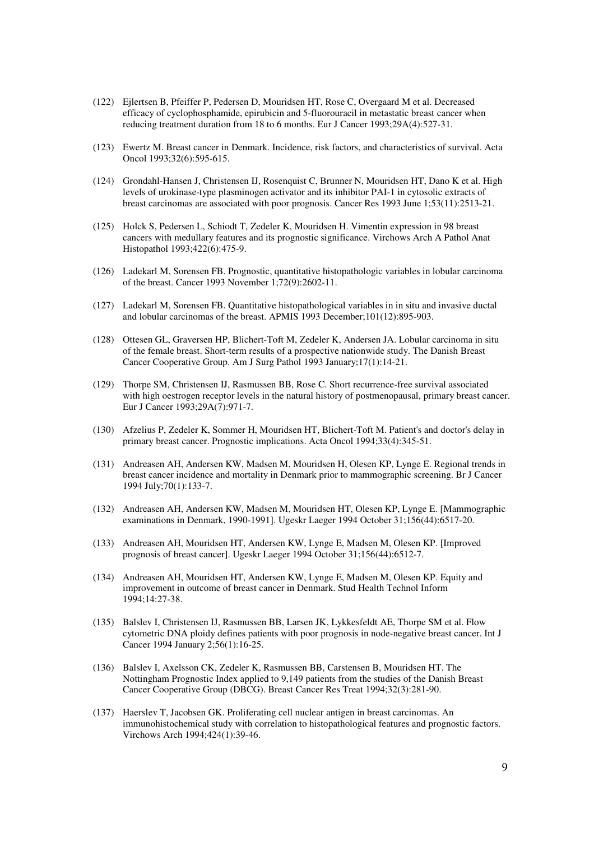- (122) Ejlertsen B, Pfeiffer P, Pedersen D, Mouridsen HT, Rose C, Overgaard M et al. Decreased efficacy of cyclophosphamide, epirubicin and 5-fluorouracil in metastatic breast cancer when reducing treatment duration from 18 to 6 months. Eur J Cancer 1993;29A(4):527-31.
- (123) Ewertz M. Breast cancer in Denmark. Incidence, risk factors, and characteristics of survival. Acta Oncol 1993;32(6):595-615.
- (124) Grondahl-Hansen J, Christensen IJ, Rosenquist C, Brunner N, Mouridsen HT, Dano K et al. High levels of urokinase-type plasminogen activator and its inhibitor PAI-1 in cytosolic extracts of breast carcinomas are associated with poor prognosis. Cancer Res 1993 June 1;53(11):2513-21.
- (125) Holck S, Pedersen L, Schiodt T, Zedeler K, Mouridsen H. Vimentin expression in 98 breast cancers with medullary features and its prognostic significance. Virchows Arch A Pathol Anat Histopathol 1993;422(6):475-9.
- (126) Ladekarl M, Sorensen FB. Prognostic, quantitative histopathologic variables in lobular carcinoma of the breast. Cancer 1993 November 1;72(9):2602-11.
- (127) Ladekarl M, Sorensen FB. Quantitative histopathological variables in in situ and invasive ductal and lobular carcinomas of the breast. APMIS 1993 December;101(12):895-903.
- (128) Ottesen GL, Graversen HP, Blichert-Toft M, Zedeler K, Andersen JA. Lobular carcinoma in situ of the female breast. Short-term results of a prospective nationwide study. The Danish Breast Cancer Cooperative Group. Am J Surg Pathol 1993 January;17(1):14-21.
- (129) Thorpe SM, Christensen IJ, Rasmussen BB, Rose C. Short recurrence-free survival associated with high oestrogen receptor levels in the natural history of postmenopausal, primary breast cancer. Eur J Cancer 1993;29A(7):971-7.
- (130) Afzelius P, Zedeler K, Sommer H, Mouridsen HT, Blichert-Toft M. Patient's and doctor's delay in primary breast cancer. Prognostic implications. Acta Oncol 1994;33(4):345-51.
- (131) Andreasen AH, Andersen KW, Madsen M, Mouridsen H, Olesen KP, Lynge E. Regional trends in breast cancer incidence and mortality in Denmark prior to mammographic screening. Br J Cancer 1994 July;70(1):133-7.
- (132) Andreasen AH, Andersen KW, Madsen M, Mouridsen HT, Olesen KP, Lynge E. [Mammographic examinations in Denmark, 1990-1991]. Ugeskr Laeger 1994 October 31;156(44):6517-20.
- (133) Andreasen AH, Mouridsen HT, Andersen KW, Lynge E, Madsen M, Olesen KP. [Improved prognosis of breast cancer]. Ugeskr Laeger 1994 October 31;156(44):6512-7.
- (134) Andreasen AH, Mouridsen HT, Andersen KW, Lynge E, Madsen M, Olesen KP. Equity and improvement in outcome of breast cancer in Denmark. Stud Health Technol Inform 1994;14:27-38.
- (135) Balslev I, Christensen IJ, Rasmussen BB, Larsen JK, Lykkesfeldt AE, Thorpe SM et al. Flow cytometric DNA ploidy defines patients with poor prognosis in node-negative breast cancer. Int J Cancer 1994 January 2;56(1):16-25.
- (136) Balslev I, Axelsson CK, Zedeler K, Rasmussen BB, Carstensen B, Mouridsen HT. The Nottingham Prognostic Index applied to 9,149 patients from the studies of the Danish Breast Cancer Cooperative Group (DBCG). Breast Cancer Res Treat 1994;32(3):281-90.
- (137) Haerslev T, Jacobsen GK. Proliferating cell nuclear antigen in breast carcinomas. An immunohistochemical study with correlation to histopathological features and prognostic factors. Virchows Arch 1994;424(1):39-46.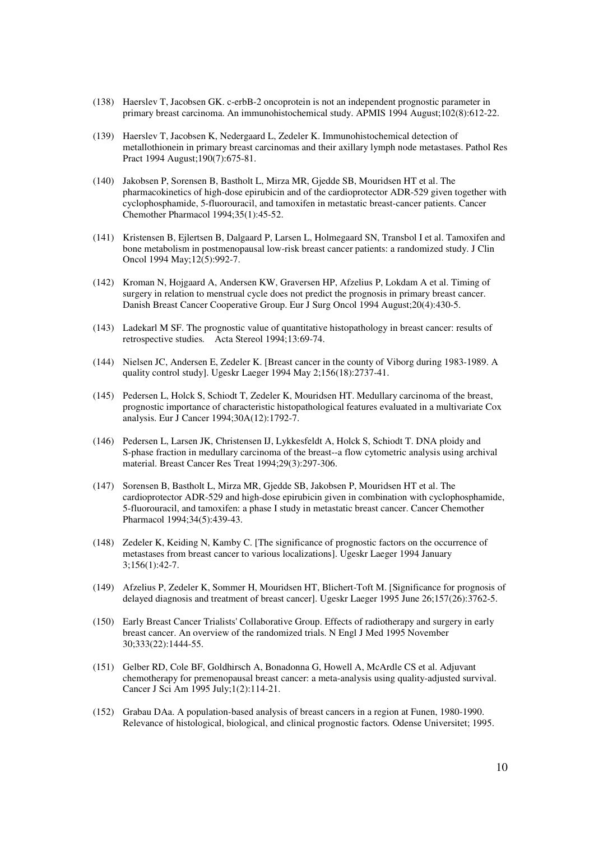- (138) Haerslev T, Jacobsen GK. c-erbB-2 oncoprotein is not an independent prognostic parameter in primary breast carcinoma. An immunohistochemical study. APMIS 1994 August;102(8):612-22.
- (139) Haerslev T, Jacobsen K, Nedergaard L, Zedeler K. Immunohistochemical detection of metallothionein in primary breast carcinomas and their axillary lymph node metastases. Pathol Res Pract 1994 August;190(7):675-81.
- (140) Jakobsen P, Sorensen B, Bastholt L, Mirza MR, Gjedde SB, Mouridsen HT et al. The pharmacokinetics of high-dose epirubicin and of the cardioprotector ADR-529 given together with cyclophosphamide, 5-fluorouracil, and tamoxifen in metastatic breast-cancer patients. Cancer Chemother Pharmacol 1994;35(1):45-52.
- (141) Kristensen B, Ejlertsen B, Dalgaard P, Larsen L, Holmegaard SN, Transbol I et al. Tamoxifen and bone metabolism in postmenopausal low-risk breast cancer patients: a randomized study. J Clin Oncol 1994 May;12(5):992-7.
- (142) Kroman N, Hojgaard A, Andersen KW, Graversen HP, Afzelius P, Lokdam A et al. Timing of surgery in relation to menstrual cycle does not predict the prognosis in primary breast cancer. Danish Breast Cancer Cooperative Group. Eur J Surg Oncol 1994 August;20(4):430-5.
- (143) Ladekarl M SF. The prognostic value of quantitative histopathology in breast cancer: results of retrospective studies*.* Acta Stereol 1994;13:69-74.
- (144) Nielsen JC, Andersen E, Zedeler K. [Breast cancer in the county of Viborg during 1983-1989. A quality control study]. Ugeskr Laeger 1994 May 2;156(18):2737-41.
- (145) Pedersen L, Holck S, Schiodt T, Zedeler K, Mouridsen HT. Medullary carcinoma of the breast, prognostic importance of characteristic histopathological features evaluated in a multivariate Cox analysis. Eur J Cancer 1994;30A(12):1792-7.
- (146) Pedersen L, Larsen JK, Christensen IJ, Lykkesfeldt A, Holck S, Schiodt T. DNA ploidy and S-phase fraction in medullary carcinoma of the breast--a flow cytometric analysis using archival material. Breast Cancer Res Treat 1994;29(3):297-306.
- (147) Sorensen B, Bastholt L, Mirza MR, Gjedde SB, Jakobsen P, Mouridsen HT et al. The cardioprotector ADR-529 and high-dose epirubicin given in combination with cyclophosphamide, 5-fluorouracil, and tamoxifen: a phase I study in metastatic breast cancer. Cancer Chemother Pharmacol 1994;34(5):439-43.
- (148) Zedeler K, Keiding N, Kamby C. [The significance of prognostic factors on the occurrence of metastases from breast cancer to various localizations]. Ugeskr Laeger 1994 January 3;156(1):42-7.
- (149) Afzelius P, Zedeler K, Sommer H, Mouridsen HT, Blichert-Toft M. [Significance for prognosis of delayed diagnosis and treatment of breast cancer]. Ugeskr Laeger 1995 June 26;157(26):3762-5.
- (150) Early Breast Cancer Trialists' Collaborative Group. Effects of radiotherapy and surgery in early breast cancer. An overview of the randomized trials. N Engl J Med 1995 November 30;333(22):1444-55.
- (151) Gelber RD, Cole BF, Goldhirsch A, Bonadonna G, Howell A, McArdle CS et al. Adjuvant chemotherapy for premenopausal breast cancer: a meta-analysis using quality-adjusted survival. Cancer J Sci Am 1995 July;1(2):114-21.
- (152) Grabau DAa. A population-based analysis of breast cancers in a region at Funen, 1980-1990. Relevance of histological, biological, and clinical prognostic factors*.* Odense Universitet; 1995.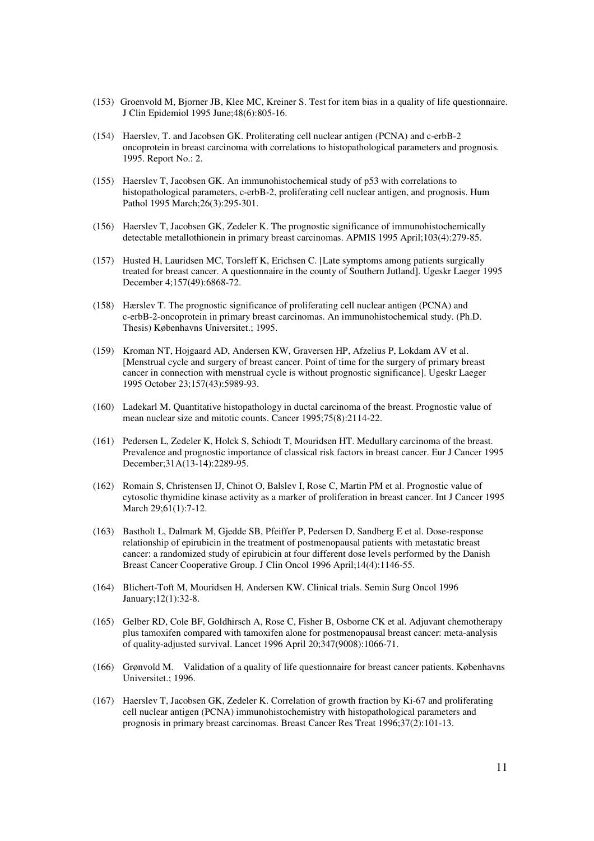- (153) Groenvold M, Bjorner JB, Klee MC, Kreiner S. Test for item bias in a quality of life questionnaire. J Clin Epidemiol 1995 June;48(6):805-16.
- (154) Haerslev, T. and Jacobsen GK. Proliterating cell nuclear antigen (PCNA) and c-erbB-2 oncoprotein in breast carcinoma with correlations to histopathological parameters and prognosis*.*  1995. Report No.: 2.
- (155) Haerslev T, Jacobsen GK. An immunohistochemical study of p53 with correlations to histopathological parameters, c-erbB-2, proliferating cell nuclear antigen, and prognosis. Hum Pathol 1995 March;26(3):295-301.
- (156) Haerslev T, Jacobsen GK, Zedeler K. The prognostic significance of immunohistochemically detectable metallothionein in primary breast carcinomas. APMIS 1995 April;103(4):279-85.
- (157) Husted H, Lauridsen MC, Torsleff K, Erichsen C. [Late symptoms among patients surgically treated for breast cancer. A questionnaire in the county of Southern Jutland]. Ugeskr Laeger 1995 December 4;157(49):6868-72.
- (158) Hærslev T. The prognostic significance of proliferating cell nuclear antigen (PCNA) and c-erbB-2-oncoprotein in primary breast carcinomas. An immunohistochemical study. (Ph.D. Thesis) Københavns Universitet.; 1995.
- (159) Kroman NT, Hojgaard AD, Andersen KW, Graversen HP, Afzelius P, Lokdam AV et al. [Menstrual cycle and surgery of breast cancer. Point of time for the surgery of primary breast cancer in connection with menstrual cycle is without prognostic significance]. Ugeskr Laeger 1995 October 23;157(43):5989-93.
- (160) Ladekarl M. Quantitative histopathology in ductal carcinoma of the breast. Prognostic value of mean nuclear size and mitotic counts. Cancer 1995;75(8):2114-22.
- (161) Pedersen L, Zedeler K, Holck S, Schiodt T, Mouridsen HT. Medullary carcinoma of the breast. Prevalence and prognostic importance of classical risk factors in breast cancer. Eur J Cancer 1995 December;31A(13-14):2289-95.
- (162) Romain S, Christensen IJ, Chinot O, Balslev I, Rose C, Martin PM et al. Prognostic value of cytosolic thymidine kinase activity as a marker of proliferation in breast cancer. Int J Cancer 1995 March 29;61(1):7-12.
- (163) Bastholt L, Dalmark M, Gjedde SB, Pfeiffer P, Pedersen D, Sandberg E et al. Dose-response relationship of epirubicin in the treatment of postmenopausal patients with metastatic breast cancer: a randomized study of epirubicin at four different dose levels performed by the Danish Breast Cancer Cooperative Group. J Clin Oncol 1996 April;14(4):1146-55.
- (164) Blichert-Toft M, Mouridsen H, Andersen KW. Clinical trials. Semin Surg Oncol 1996 January;12(1):32-8.
- (165) Gelber RD, Cole BF, Goldhirsch A, Rose C, Fisher B, Osborne CK et al. Adjuvant chemotherapy plus tamoxifen compared with tamoxifen alone for postmenopausal breast cancer: meta-analysis of quality-adjusted survival. Lancet 1996 April 20;347(9008):1066-71.
- (166) Grønvold M. Validation of a quality of life questionnaire for breast cancer patients. Københavns Universitet.; 1996.
- (167) Haerslev T, Jacobsen GK, Zedeler K. Correlation of growth fraction by Ki-67 and proliferating cell nuclear antigen (PCNA) immunohistochemistry with histopathological parameters and prognosis in primary breast carcinomas. Breast Cancer Res Treat 1996;37(2):101-13.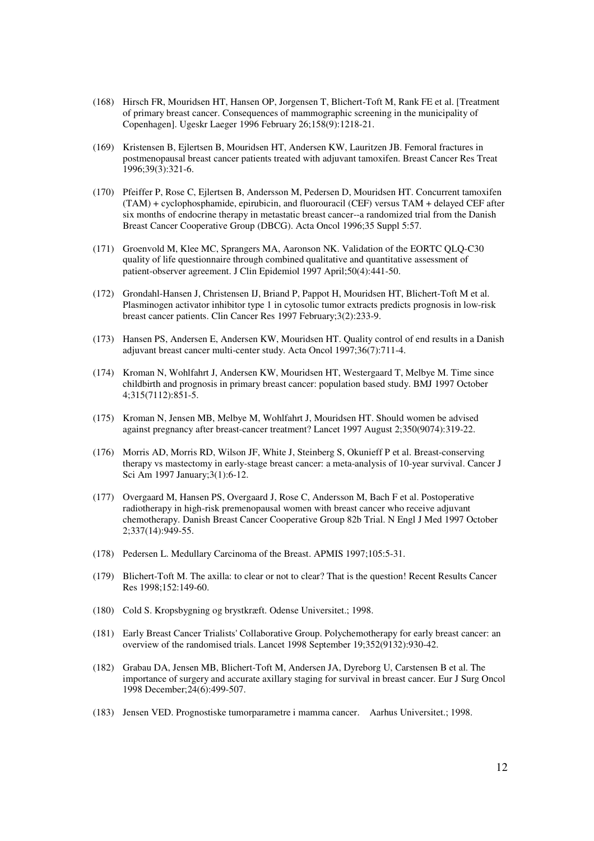- (168) Hirsch FR, Mouridsen HT, Hansen OP, Jorgensen T, Blichert-Toft M, Rank FE et al. [Treatment of primary breast cancer. Consequences of mammographic screening in the municipality of Copenhagen]. Ugeskr Laeger 1996 February 26;158(9):1218-21.
- (169) Kristensen B, Ejlertsen B, Mouridsen HT, Andersen KW, Lauritzen JB. Femoral fractures in postmenopausal breast cancer patients treated with adjuvant tamoxifen. Breast Cancer Res Treat 1996;39(3):321-6.
- (170) Pfeiffer P, Rose C, Ejlertsen B, Andersson M, Pedersen D, Mouridsen HT. Concurrent tamoxifen (TAM) + cyclophosphamide, epirubicin, and fluorouracil (CEF) versus TAM + delayed CEF after six months of endocrine therapy in metastatic breast cancer--a randomized trial from the Danish Breast Cancer Cooperative Group (DBCG). Acta Oncol 1996;35 Suppl 5:57.
- (171) Groenvold M, Klee MC, Sprangers MA, Aaronson NK. Validation of the EORTC QLQ-C30 quality of life questionnaire through combined qualitative and quantitative assessment of patient-observer agreement. J Clin Epidemiol 1997 April;50(4):441-50.
- (172) Grondahl-Hansen J, Christensen IJ, Briand P, Pappot H, Mouridsen HT, Blichert-Toft M et al. Plasminogen activator inhibitor type 1 in cytosolic tumor extracts predicts prognosis in low-risk breast cancer patients. Clin Cancer Res 1997 February;3(2):233-9.
- (173) Hansen PS, Andersen E, Andersen KW, Mouridsen HT. Quality control of end results in a Danish adjuvant breast cancer multi-center study. Acta Oncol 1997;36(7):711-4.
- (174) Kroman N, Wohlfahrt J, Andersen KW, Mouridsen HT, Westergaard T, Melbye M. Time since childbirth and prognosis in primary breast cancer: population based study. BMJ 1997 October 4;315(7112):851-5.
- (175) Kroman N, Jensen MB, Melbye M, Wohlfahrt J, Mouridsen HT. Should women be advised against pregnancy after breast-cancer treatment? Lancet 1997 August 2;350(9074):319-22.
- (176) Morris AD, Morris RD, Wilson JF, White J, Steinberg S, Okunieff P et al. Breast-conserving therapy vs mastectomy in early-stage breast cancer: a meta-analysis of 10-year survival. Cancer J Sci Am 1997 January;3(1):6-12.
- (177) Overgaard M, Hansen PS, Overgaard J, Rose C, Andersson M, Bach F et al. Postoperative radiotherapy in high-risk premenopausal women with breast cancer who receive adjuvant chemotherapy. Danish Breast Cancer Cooperative Group 82b Trial. N Engl J Med 1997 October 2;337(14):949-55.
- (178) Pedersen L. Medullary Carcinoma of the Breast. APMIS 1997;105:5-31.
- (179) Blichert-Toft M. The axilla: to clear or not to clear? That is the question! Recent Results Cancer Res 1998;152:149-60.
- (180) Cold S. Kropsbygning og brystkræft. Odense Universitet.; 1998.
- (181) Early Breast Cancer Trialists' Collaborative Group. Polychemotherapy for early breast cancer: an overview of the randomised trials. Lancet 1998 September 19;352(9132):930-42.
- (182) Grabau DA, Jensen MB, Blichert-Toft M, Andersen JA, Dyreborg U, Carstensen B et al. The importance of surgery and accurate axillary staging for survival in breast cancer. Eur J Surg Oncol 1998 December;24(6):499-507.
- (183) Jensen VED. Prognostiske tumorparametre i mamma cancer. Aarhus Universitet.; 1998.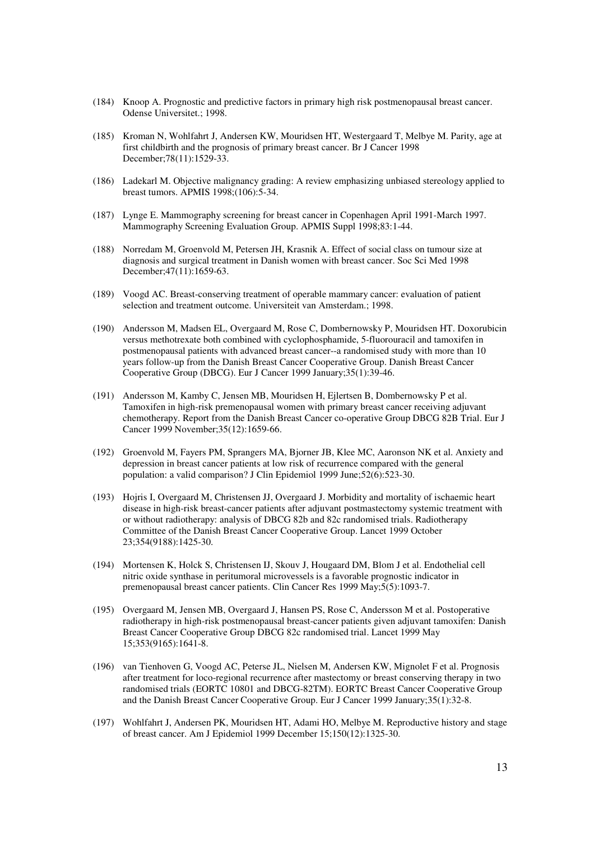- (184) Knoop A. Prognostic and predictive factors in primary high risk postmenopausal breast cancer. Odense Universitet.; 1998.
- (185) Kroman N, Wohlfahrt J, Andersen KW, Mouridsen HT, Westergaard T, Melbye M. Parity, age at first childbirth and the prognosis of primary breast cancer. Br J Cancer 1998 December;78(11):1529-33.
- (186) Ladekarl M. Objective malignancy grading: A review emphasizing unbiased stereology applied to breast tumors. APMIS 1998;(106):5-34.
- (187) Lynge E. Mammography screening for breast cancer in Copenhagen April 1991-March 1997. Mammography Screening Evaluation Group. APMIS Suppl 1998;83:1-44.
- (188) Norredam M, Groenvold M, Petersen JH, Krasnik A. Effect of social class on tumour size at diagnosis and surgical treatment in Danish women with breast cancer. Soc Sci Med 1998 December;47(11):1659-63.
- (189) Voogd AC. Breast-conserving treatment of operable mammary cancer: evaluation of patient selection and treatment outcome. Universiteit van Amsterdam.; 1998.
- (190) Andersson M, Madsen EL, Overgaard M, Rose C, Dombernowsky P, Mouridsen HT. Doxorubicin versus methotrexate both combined with cyclophosphamide, 5-fluorouracil and tamoxifen in postmenopausal patients with advanced breast cancer--a randomised study with more than 10 years follow-up from the Danish Breast Cancer Cooperative Group. Danish Breast Cancer Cooperative Group (DBCG). Eur J Cancer 1999 January;35(1):39-46.
- (191) Andersson M, Kamby C, Jensen MB, Mouridsen H, Ejlertsen B, Dombernowsky P et al. Tamoxifen in high-risk premenopausal women with primary breast cancer receiving adjuvant chemotherapy. Report from the Danish Breast Cancer co-operative Group DBCG 82B Trial. Eur J Cancer 1999 November;35(12):1659-66.
- (192) Groenvold M, Fayers PM, Sprangers MA, Bjorner JB, Klee MC, Aaronson NK et al. Anxiety and depression in breast cancer patients at low risk of recurrence compared with the general population: a valid comparison? J Clin Epidemiol 1999 June;52(6):523-30.
- (193) Hojris I, Overgaard M, Christensen JJ, Overgaard J. Morbidity and mortality of ischaemic heart disease in high-risk breast-cancer patients after adjuvant postmastectomy systemic treatment with or without radiotherapy: analysis of DBCG 82b and 82c randomised trials. Radiotherapy Committee of the Danish Breast Cancer Cooperative Group. Lancet 1999 October 23;354(9188):1425-30.
- (194) Mortensen K, Holck S, Christensen IJ, Skouv J, Hougaard DM, Blom J et al. Endothelial cell nitric oxide synthase in peritumoral microvessels is a favorable prognostic indicator in premenopausal breast cancer patients. Clin Cancer Res 1999 May;5(5):1093-7.
- (195) Overgaard M, Jensen MB, Overgaard J, Hansen PS, Rose C, Andersson M et al. Postoperative radiotherapy in high-risk postmenopausal breast-cancer patients given adjuvant tamoxifen: Danish Breast Cancer Cooperative Group DBCG 82c randomised trial. Lancet 1999 May 15;353(9165):1641-8.
- (196) van Tienhoven G, Voogd AC, Peterse JL, Nielsen M, Andersen KW, Mignolet F et al. Prognosis after treatment for loco-regional recurrence after mastectomy or breast conserving therapy in two randomised trials (EORTC 10801 and DBCG-82TM). EORTC Breast Cancer Cooperative Group and the Danish Breast Cancer Cooperative Group. Eur J Cancer 1999 January;35(1):32-8.
- (197) Wohlfahrt J, Andersen PK, Mouridsen HT, Adami HO, Melbye M. Reproductive history and stage of breast cancer. Am J Epidemiol 1999 December 15;150(12):1325-30.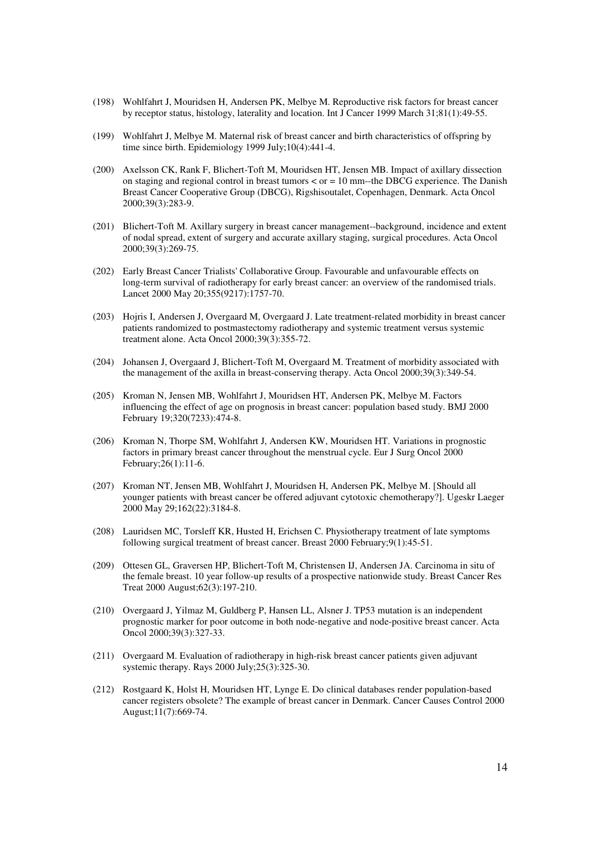- (198) Wohlfahrt J, Mouridsen H, Andersen PK, Melbye M. Reproductive risk factors for breast cancer by receptor status, histology, laterality and location. Int J Cancer 1999 March 31;81(1):49-55.
- (199) Wohlfahrt J, Melbye M. Maternal risk of breast cancer and birth characteristics of offspring by time since birth. Epidemiology 1999 July;10(4):441-4.
- (200) Axelsson CK, Rank F, Blichert-Toft M, Mouridsen HT, Jensen MB. Impact of axillary dissection on staging and regional control in breast tumors  $\lt$  or  $= 10$  mm--the DBCG experience. The Danish Breast Cancer Cooperative Group (DBCG), Rigshisoutalet, Copenhagen, Denmark. Acta Oncol 2000;39(3):283-9.
- (201) Blichert-Toft M. Axillary surgery in breast cancer management--background, incidence and extent of nodal spread, extent of surgery and accurate axillary staging, surgical procedures. Acta Oncol 2000;39(3):269-75.
- (202) Early Breast Cancer Trialists' Collaborative Group. Favourable and unfavourable effects on long-term survival of radiotherapy for early breast cancer: an overview of the randomised trials. Lancet 2000 May 20;355(9217):1757-70.
- (203) Hojris I, Andersen J, Overgaard M, Overgaard J. Late treatment-related morbidity in breast cancer patients randomized to postmastectomy radiotherapy and systemic treatment versus systemic treatment alone. Acta Oncol 2000;39(3):355-72.
- (204) Johansen J, Overgaard J, Blichert-Toft M, Overgaard M. Treatment of morbidity associated with the management of the axilla in breast-conserving therapy. Acta Oncol 2000;39(3):349-54.
- (205) Kroman N, Jensen MB, Wohlfahrt J, Mouridsen HT, Andersen PK, Melbye M. Factors influencing the effect of age on prognosis in breast cancer: population based study. BMJ 2000 February 19;320(7233):474-8.
- (206) Kroman N, Thorpe SM, Wohlfahrt J, Andersen KW, Mouridsen HT. Variations in prognostic factors in primary breast cancer throughout the menstrual cycle. Eur J Surg Oncol 2000 February;26(1):11-6.
- (207) Kroman NT, Jensen MB, Wohlfahrt J, Mouridsen H, Andersen PK, Melbye M. [Should all younger patients with breast cancer be offered adjuvant cytotoxic chemotherapy?]. Ugeskr Laeger 2000 May 29;162(22):3184-8.
- (208) Lauridsen MC, Torsleff KR, Husted H, Erichsen C. Physiotherapy treatment of late symptoms following surgical treatment of breast cancer. Breast 2000 February;9(1):45-51.
- (209) Ottesen GL, Graversen HP, Blichert-Toft M, Christensen IJ, Andersen JA. Carcinoma in situ of the female breast. 10 year follow-up results of a prospective nationwide study. Breast Cancer Res Treat 2000 August;62(3):197-210.
- (210) Overgaard J, Yilmaz M, Guldberg P, Hansen LL, Alsner J. TP53 mutation is an independent prognostic marker for poor outcome in both node-negative and node-positive breast cancer. Acta Oncol 2000;39(3):327-33.
- (211) Overgaard M. Evaluation of radiotherapy in high-risk breast cancer patients given adjuvant systemic therapy. Rays 2000 July;25(3):325-30.
- (212) Rostgaard K, Holst H, Mouridsen HT, Lynge E. Do clinical databases render population-based cancer registers obsolete? The example of breast cancer in Denmark. Cancer Causes Control 2000 August;11(7):669-74.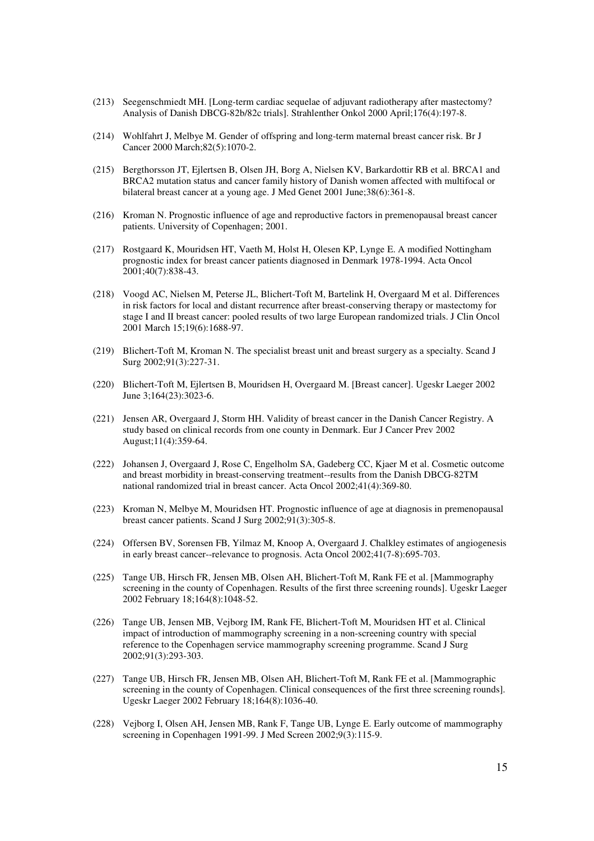- (213) Seegenschmiedt MH. [Long-term cardiac sequelae of adjuvant radiotherapy after mastectomy? Analysis of Danish DBCG-82b/82c trials]. Strahlenther Onkol 2000 April;176(4):197-8.
- (214) Wohlfahrt J, Melbye M. Gender of offspring and long-term maternal breast cancer risk. Br J Cancer 2000 March;82(5):1070-2.
- (215) Bergthorsson JT, Ejlertsen B, Olsen JH, Borg A, Nielsen KV, Barkardottir RB et al. BRCA1 and BRCA2 mutation status and cancer family history of Danish women affected with multifocal or bilateral breast cancer at a young age. J Med Genet 2001 June;38(6):361-8.
- (216) Kroman N. Prognostic influence of age and reproductive factors in premenopausal breast cancer patients. University of Copenhagen; 2001.
- (217) Rostgaard K, Mouridsen HT, Vaeth M, Holst H, Olesen KP, Lynge E. A modified Nottingham prognostic index for breast cancer patients diagnosed in Denmark 1978-1994. Acta Oncol 2001;40(7):838-43.
- (218) Voogd AC, Nielsen M, Peterse JL, Blichert-Toft M, Bartelink H, Overgaard M et al. Differences in risk factors for local and distant recurrence after breast-conserving therapy or mastectomy for stage I and II breast cancer: pooled results of two large European randomized trials. J Clin Oncol 2001 March 15;19(6):1688-97.
- (219) Blichert-Toft M, Kroman N. The specialist breast unit and breast surgery as a specialty. Scand J Surg 2002;91(3):227-31.
- (220) Blichert-Toft M, Ejlertsen B, Mouridsen H, Overgaard M. [Breast cancer]. Ugeskr Laeger 2002 June 3;164(23):3023-6.
- (221) Jensen AR, Overgaard J, Storm HH. Validity of breast cancer in the Danish Cancer Registry. A study based on clinical records from one county in Denmark. Eur J Cancer Prev 2002 August;11(4):359-64.
- (222) Johansen J, Overgaard J, Rose C, Engelholm SA, Gadeberg CC, Kjaer M et al. Cosmetic outcome and breast morbidity in breast-conserving treatment--results from the Danish DBCG-82TM national randomized trial in breast cancer. Acta Oncol 2002;41(4):369-80.
- (223) Kroman N, Melbye M, Mouridsen HT. Prognostic influence of age at diagnosis in premenopausal breast cancer patients. Scand J Surg 2002;91(3):305-8.
- (224) Offersen BV, Sorensen FB, Yilmaz M, Knoop A, Overgaard J. Chalkley estimates of angiogenesis in early breast cancer--relevance to prognosis. Acta Oncol 2002;41(7-8):695-703.
- (225) Tange UB, Hirsch FR, Jensen MB, Olsen AH, Blichert-Toft M, Rank FE et al. [Mammography screening in the county of Copenhagen. Results of the first three screening rounds]. Ugeskr Laeger 2002 February 18;164(8):1048-52.
- (226) Tange UB, Jensen MB, Vejborg IM, Rank FE, Blichert-Toft M, Mouridsen HT et al. Clinical impact of introduction of mammography screening in a non-screening country with special reference to the Copenhagen service mammography screening programme. Scand J Surg 2002;91(3):293-303.
- (227) Tange UB, Hirsch FR, Jensen MB, Olsen AH, Blichert-Toft M, Rank FE et al. [Mammographic screening in the county of Copenhagen. Clinical consequences of the first three screening rounds]. Ugeskr Laeger 2002 February 18;164(8):1036-40.
- (228) Vejborg I, Olsen AH, Jensen MB, Rank F, Tange UB, Lynge E. Early outcome of mammography screening in Copenhagen 1991-99. J Med Screen 2002;9(3):115-9.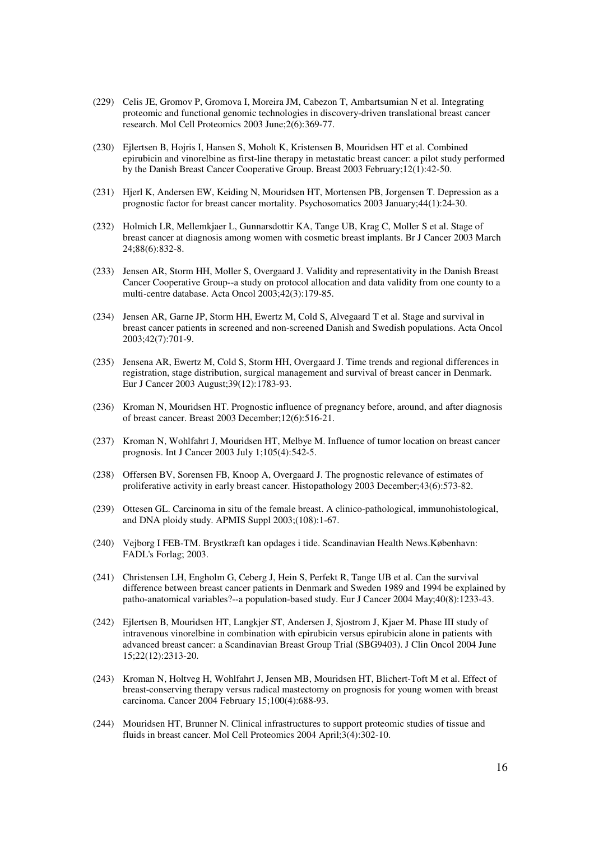- (229) Celis JE, Gromov P, Gromova I, Moreira JM, Cabezon T, Ambartsumian N et al. Integrating proteomic and functional genomic technologies in discovery-driven translational breast cancer research. Mol Cell Proteomics 2003 June;2(6):369-77.
- (230) Ejlertsen B, Hojris I, Hansen S, Moholt K, Kristensen B, Mouridsen HT et al. Combined epirubicin and vinorelbine as first-line therapy in metastatic breast cancer: a pilot study performed by the Danish Breast Cancer Cooperative Group. Breast 2003 February;12(1):42-50.
- (231) Hjerl K, Andersen EW, Keiding N, Mouridsen HT, Mortensen PB, Jorgensen T. Depression as a prognostic factor for breast cancer mortality. Psychosomatics 2003 January;44(1):24-30.
- (232) Holmich LR, Mellemkjaer L, Gunnarsdottir KA, Tange UB, Krag C, Moller S et al. Stage of breast cancer at diagnosis among women with cosmetic breast implants. Br J Cancer 2003 March 24;88(6):832-8.
- (233) Jensen AR, Storm HH, Moller S, Overgaard J. Validity and representativity in the Danish Breast Cancer Cooperative Group--a study on protocol allocation and data validity from one county to a multi-centre database. Acta Oncol 2003;42(3):179-85.
- (234) Jensen AR, Garne JP, Storm HH, Ewertz M, Cold S, Alvegaard T et al. Stage and survival in breast cancer patients in screened and non-screened Danish and Swedish populations. Acta Oncol 2003;42(7):701-9.
- (235) Jensena AR, Ewertz M, Cold S, Storm HH, Overgaard J. Time trends and regional differences in registration, stage distribution, surgical management and survival of breast cancer in Denmark. Eur J Cancer 2003 August;39(12):1783-93.
- (236) Kroman N, Mouridsen HT. Prognostic influence of pregnancy before, around, and after diagnosis of breast cancer. Breast 2003 December;12(6):516-21.
- (237) Kroman N, Wohlfahrt J, Mouridsen HT, Melbye M. Influence of tumor location on breast cancer prognosis. Int J Cancer 2003 July 1;105(4):542-5.
- (238) Offersen BV, Sorensen FB, Knoop A, Overgaard J. The prognostic relevance of estimates of proliferative activity in early breast cancer. Histopathology 2003 December;43(6):573-82.
- (239) Ottesen GL. Carcinoma in situ of the female breast. A clinico-pathological, immunohistological, and DNA ploidy study. APMIS Suppl 2003;(108):1-67.
- (240) Vejborg I FEB-TM. Brystkræft kan opdages i tide. Scandinavian Health News.København: FADL's Forlag; 2003.
- (241) Christensen LH, Engholm G, Ceberg J, Hein S, Perfekt R, Tange UB et al. Can the survival difference between breast cancer patients in Denmark and Sweden 1989 and 1994 be explained by patho-anatomical variables?--a population-based study. Eur J Cancer 2004 May;40(8):1233-43.
- (242) Ejlertsen B, Mouridsen HT, Langkjer ST, Andersen J, Sjostrom J, Kjaer M. Phase III study of intravenous vinorelbine in combination with epirubicin versus epirubicin alone in patients with advanced breast cancer: a Scandinavian Breast Group Trial (SBG9403). J Clin Oncol 2004 June 15;22(12):2313-20.
- (243) Kroman N, Holtveg H, Wohlfahrt J, Jensen MB, Mouridsen HT, Blichert-Toft M et al. Effect of breast-conserving therapy versus radical mastectomy on prognosis for young women with breast carcinoma. Cancer 2004 February 15;100(4):688-93.
- (244) Mouridsen HT, Brunner N. Clinical infrastructures to support proteomic studies of tissue and fluids in breast cancer. Mol Cell Proteomics 2004 April;3(4):302-10.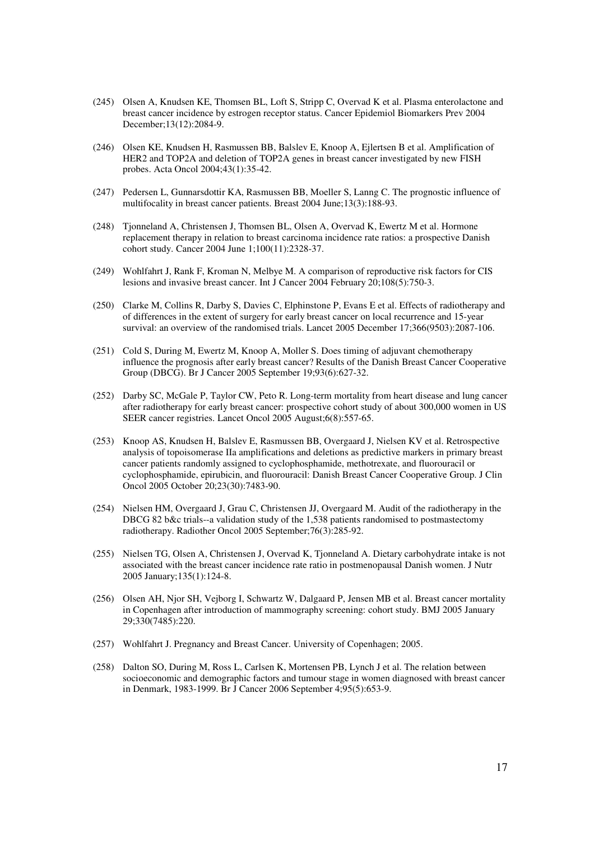- (245) Olsen A, Knudsen KE, Thomsen BL, Loft S, Stripp C, Overvad K et al. Plasma enterolactone and breast cancer incidence by estrogen receptor status. Cancer Epidemiol Biomarkers Prev 2004 December;13(12):2084-9.
- (246) Olsen KE, Knudsen H, Rasmussen BB, Balslev E, Knoop A, Ejlertsen B et al. Amplification of HER2 and TOP2A and deletion of TOP2A genes in breast cancer investigated by new FISH probes. Acta Oncol 2004;43(1):35-42.
- (247) Pedersen L, Gunnarsdottir KA, Rasmussen BB, Moeller S, Lanng C. The prognostic influence of multifocality in breast cancer patients. Breast 2004 June;13(3):188-93.
- (248) Tjonneland A, Christensen J, Thomsen BL, Olsen A, Overvad K, Ewertz M et al. Hormone replacement therapy in relation to breast carcinoma incidence rate ratios: a prospective Danish cohort study. Cancer 2004 June 1;100(11):2328-37.
- (249) Wohlfahrt J, Rank F, Kroman N, Melbye M. A comparison of reproductive risk factors for CIS lesions and invasive breast cancer. Int J Cancer 2004 February 20;108(5):750-3.
- (250) Clarke M, Collins R, Darby S, Davies C, Elphinstone P, Evans E et al. Effects of radiotherapy and of differences in the extent of surgery for early breast cancer on local recurrence and 15-year survival: an overview of the randomised trials. Lancet 2005 December 17;366(9503):2087-106.
- (251) Cold S, During M, Ewertz M, Knoop A, Moller S. Does timing of adjuvant chemotherapy influence the prognosis after early breast cancer? Results of the Danish Breast Cancer Cooperative Group (DBCG). Br J Cancer 2005 September 19;93(6):627-32.
- (252) Darby SC, McGale P, Taylor CW, Peto R. Long-term mortality from heart disease and lung cancer after radiotherapy for early breast cancer: prospective cohort study of about 300,000 women in US SEER cancer registries. Lancet Oncol 2005 August;6(8):557-65.
- (253) Knoop AS, Knudsen H, Balslev E, Rasmussen BB, Overgaard J, Nielsen KV et al. Retrospective analysis of topoisomerase IIa amplifications and deletions as predictive markers in primary breast cancer patients randomly assigned to cyclophosphamide, methotrexate, and fluorouracil or cyclophosphamide, epirubicin, and fluorouracil: Danish Breast Cancer Cooperative Group. J Clin Oncol 2005 October 20;23(30):7483-90.
- (254) Nielsen HM, Overgaard J, Grau C, Christensen JJ, Overgaard M. Audit of the radiotherapy in the DBCG 82 b&c trials--a validation study of the 1,538 patients randomised to postmastectomy radiotherapy. Radiother Oncol 2005 September;76(3):285-92.
- (255) Nielsen TG, Olsen A, Christensen J, Overvad K, Tjonneland A. Dietary carbohydrate intake is not associated with the breast cancer incidence rate ratio in postmenopausal Danish women. J Nutr 2005 January;135(1):124-8.
- (256) Olsen AH, Njor SH, Vejborg I, Schwartz W, Dalgaard P, Jensen MB et al. Breast cancer mortality in Copenhagen after introduction of mammography screening: cohort study. BMJ 2005 January 29;330(7485):220.
- (257) Wohlfahrt J. Pregnancy and Breast Cancer. University of Copenhagen; 2005.
- (258) Dalton SO, During M, Ross L, Carlsen K, Mortensen PB, Lynch J et al. The relation between socioeconomic and demographic factors and tumour stage in women diagnosed with breast cancer in Denmark, 1983-1999. Br J Cancer 2006 September 4;95(5):653-9.